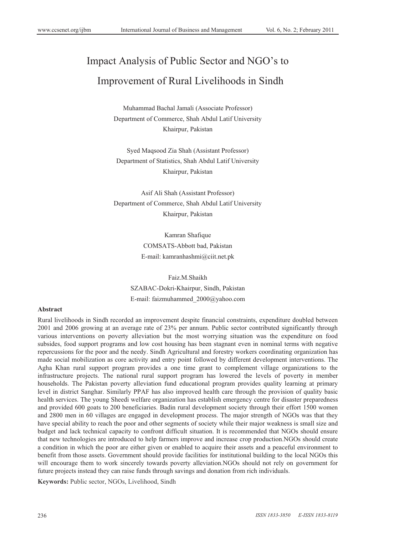# Impact Analysis of Public Sector and NGO's to Improvement of Rural Livelihoods in Sindh

Muhammad Bachal Jamali (Associate Professor) Department of Commerce, Shah Abdul Latif University Khairpur, Pakistan

Syed Maqsood Zia Shah (Assistant Professor) Department of Statistics, Shah Abdul Latif University Khairpur, Pakistan

Asif Ali Shah (Assistant Professor) Department of Commerce, Shah Abdul Latif University Khairpur, Pakistan

> Kamran Shafique COMSATS-Abbott bad, Pakistan E-mail: kamranhashmi@ciit.net.pk

Faiz.M.Shaikh SZABAC-Dokri-Khairpur, Sindh, Pakistan E-mail: faizmuhammed\_2000@yahoo.com

## **Abstract**

Rural livelihoods in Sindh recorded an improvement despite financial constraints, expenditure doubled between 2001 and 2006 growing at an average rate of 23% per annum. Public sector contributed significantly through various interventions on poverty alleviation but the most worrying situation was the expenditure on food subsides, food support programs and low cost housing has been stagnant even in nominal terms with negative repercussions for the poor and the needy. Sindh Agricultural and forestry workers coordinating organization has made social mobilization as core activity and entry point followed by different development interventions. The Agha Khan rural support program provides a one time grant to complement village organizations to the infrastructure projects. The national rural support program has lowered the levels of poverty in member households. The Pakistan poverty alleviation fund educational program provides quality learning at primary level in district Sanghar. Similarly PPAF has also improved health care through the provision of quality basic health services. The young Sheedi welfare organization has establish emergency centre for disaster preparedness and provided 600 goats to 200 beneficiaries. Badin rural development society through their effort 1500 women and 2800 men in 60 villages are engaged in development process. The major strength of NGOs was that they have special ability to reach the poor and other segments of society while their major weakness is small size and budget and lack technical capacity to confront difficult situation. It is recommended that NGOs should ensure that new technologies are introduced to help farmers improve and increase crop production.NGOs should create a condition in which the poor are either given or enabled to acquire their assets and a peaceful environment to benefit from those assets. Government should provide facilities for institutional building to the local NGOs this will encourage them to work sincerely towards poverty alleviation.NGOs should not rely on government for future projects instead they can raise funds through savings and donation from rich individuals.

**Keywords:** Public sector, NGOs, Livelihood, Sindh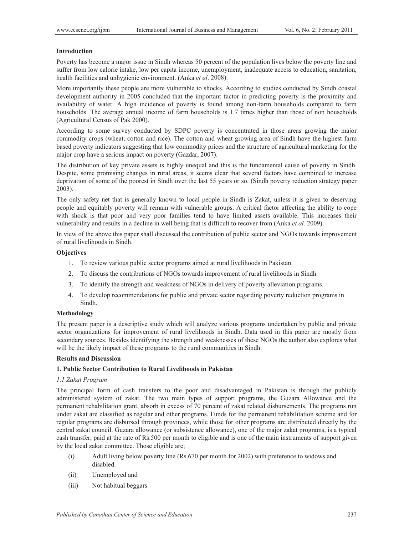## **Introduction**

Poverty has become a major issue in Sindh whereas 50 percent of the population lives below the poverty line and suffer from low calorie intake, low per capita income, unemployment, inadequate access to education, sanitation, health facilities and unhygienic environment. (Anka *et al*. 2008).

More importantly these people are more vulnerable to shocks. According to studies conducted by Sindh coastal development authority in 2005 concluded that the important factor in predicting poverty is the proximity and availability of water. A high incidence of poverty is found among non-farm households compared to farm households. The average annual income of farm households is 1.7 times higher than those of non households (Agricultural Census of Pak 2000).

According to some survey conducted by SDPC poverty is concentrated in those areas growing the major commodity crops (wheat, cotton and rice). The cotton and wheat growing area of Sindh have the highest farm based poverty indicators suggesting that low commodity prices and the structure of agricultural marketing for the major crop have a serious impact on poverty (Gazdar, 2007).

The distribution of key private assets is highly unequal and this is the fundamental cause of poverty in Sindh. Despite, some promising changes in rural areas, it seems clear that several factors have combined to increase deprivation of some of the poorest in Sindh over the last 55 years or so. (Sindh poverty reduction strategy paper 2003).

The only safety net that is generally known to local people in Sindh is Zakat, unless it is given to deserving people and equitably poverty will remain with vulnerable groups. A critical factor affecting the ability to cope with shock is that poor and very poor families tend to have limited assets available. This increases their vulnerability and results in a decline in well being that is difficult to recover from (Anka *et al.* 2009).

In view of the above this paper shall discussed the contribution of public sector and NGOs towards improvement of rural livelihoods in Sindh.

#### **Objectives**

- 1. To review various public sector programs aimed at rural livelihoods in Pakistan.
- 2. To discuss the contributions of NGOs towards improvement of rural livelihoods in Sindh.
- 3. To identify the strength and weakness of NGOs in delivery of poverty alleviation programs.
- 4. To develop recommendations for public and private sector regarding poverty reduction programs in Sindh.

#### **Methodology**

The present paper is a descriptive study which will analyze various programs undertaken by public and private sector organizations for improvement of rural livelihoods in Sindh. Data used in this paper are mostly from secondary sources. Besides identifying the strength and weaknesses of these NGOs the author also explores what will be the likely impact of these programs to the rural communities in Sindh.

# **Results and Discussion**

## **1. Public Sector Contribution to Rural Livelihoods in Pakistan**

#### *1.1 Zakat Program*

The principal form of cash transfers to the poor and disadvantaged in Pakistan is through the publicly administered system of zakat. The two main types of support programs, the Guzara Allowance and the permanent rehabilitation grant, absorb in excess of 70 percent of zakat related disbursements. The programs run under zakat are classified as regular and other programs. Funds for the permanent rehabilitation scheme and for regular programs are disbursed through provinces, while those for other programs are distributed directly by the central zakat council. Guzara allowance (or subsistence allowance), one of the major zakat programs, is a typical cash transfer, paid at the rate of Rs.500 per month to eligible and is one of the main instruments of support given by the local zakat committee. Those eligible are;

- (i) Adult living below poverty line (Rs.670 per month for 2002) with preference to widows and disabled.
- (ii) Unemployed and
- (iii) Not habitual beggars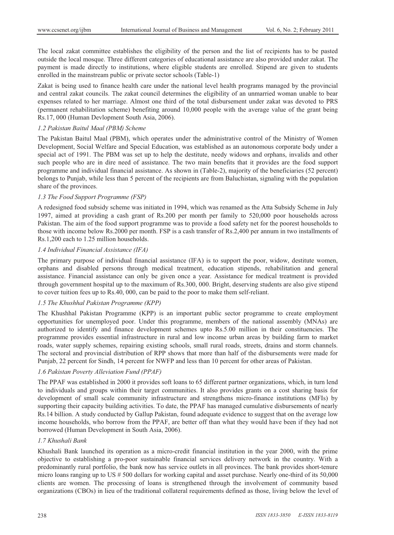The local zakat committee establishes the eligibility of the person and the list of recipients has to be pasted outside the local mosque. Three different categories of educational assistance are also provided under zakat. The payment is made directly to institutions, where eligible students are enrolled. Stipend are given to students enrolled in the mainstream public or private sector schools (Table-1)

Zakat is being used to finance health care under the national level health programs managed by the provincial and central zakat councils. The zakat council determines the eligibility of an unmarried woman unable to bear expenses related to her marriage. Almost one third of the total disbursement under zakat was devoted to PRS (permanent rehabilitation scheme) benefiting around 10,000 people with the average value of the grant being Rs.17, 000 (Human Devlopment South Asia, 2006).

## *1.2 Pakistan Baitul Maal (PBM) Scheme*

The Pakistan Baitul Maal (PBM), which operates under the administrative control of the Ministry of Women Development, Social Welfare and Special Education, was established as an autonomous corporate body under a special act of 1991. The PBM was set up to help the destitute, needy widows and orphans, invalids and other such people who are in dire need of assistance. The two main benefits that it provides are the food support programme and individual financial assistance. As shown in (Table-2), majority of the beneficiaries (52 percent) belongs to Punjab, while less than 5 percent of the recipients are from Baluchistan, signaling with the population share of the provinces.

# *1.3 The Food Support Programme (FSP)*

A redesigned food subsidy scheme was initiated in 1994, which was renamed as the Atta Subsidy Scheme in July 1997, aimed at providing a cash grant of Rs.200 per month per family to 520,000 poor households across Pakistan. The aim of the food support programme was to provide a food safety net for the poorest households to those with income below Rs.2000 per month. FSP is a cash transfer of Rs.2,400 per annum in two installments of Rs.1,200 each to 1.25 million households.

# *1.4 Individual Financial Assistance (IFA)*

The primary purpose of individual financial assistance (IFA) is to support the poor, widow, destitute women, orphans and disabled persons through medical treatment, education stipends, rehabilitation and general assistance. Financial assistance can only be given once a year. Assistance for medical treatment is provided through government hospital up to the maximum of Rs.300, 000. Bright, deserving students are also give stipend to cover tuition fees up to Rs.40, 000, can be paid to the poor to make them self-reliant.

## *1.5 The Khushhal Pakistan Programme (KPP)*

The Khushhal Pakistan Programme (KPP) is an important public sector programme to create employment opportunities for unemployed poor. Under this programme, members of the national assembly (MNAs) are authorized to identify and finance development schemes upto Rs.5.00 million in their constituencies. The programme provides essential infrastructure in rural and low income urban areas by building farm to market roads, water supply schemes, repairing existing schools, small rural roads, streets, drains and storm channels. The sectoral and provincial distribution of RPP shows that more than half of the disbursements were made for Punjab, 22 percent for Sindh, 14 percent for NWFP and less than 10 percent for other areas of Pakistan.

# *1.6 Pakistan Poverty Alleviation Fund (PPAF)*

The PPAF was established in 2000 it provides soft loans to 65 different partner organizations, which, in turn lend to individuals and groups within their target communities. It also provides grants on a cost sharing basis for development of small scale community infrastructure and strengthens micro-finance institutions (MFIs) by supporting their capacity building activities. To date, the PPAF has managed cumulative disbursements of nearly Rs.14 billion. A study conducted by Gallup Pakistan, found adequate evidence to suggest that on the average low income households, who borrow from the PPAF, are better off than what they would have been if they had not borrowed (Human Development in South Asia, 2006).

## *1.7 Khushali Bank*

Khushali Bank launched its operation as a micro-credit financial institution in the year 2000, with the prime objective to establishing a pro-poor sustainable financial services delivery network in the country. With a predominantly rural portfolio, the bank now has service outlets in all provinces. The bank provides short-tenure micro loans ranging up to US # 500 dollars for working capital and asset purchase. Nearly one-third of its 50,000 clients are women. The processing of loans is strengthened through the involvement of community based organizations (CBOs) in lieu of the traditional collateral requirements defined as those, living below the level of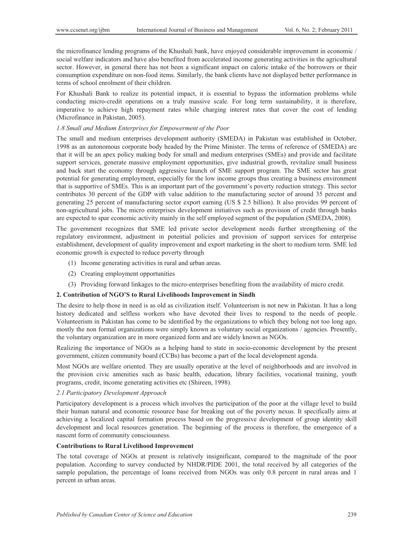the microfinance lending programs of the Khushali bank, have enjoyed considerable improvement in economic / social welfare indicators and have also benefited from accelerated income generating activities in the agricultural sector. However, in general there has not been a significant impact on caloric intake of the borrowers or their consumption expenditure on non-food items. Similarly, the bank clients have not displayed better performance in terms of school enrolment of their children.

For Khushali Bank to realize its potential impact, it is essential to bypass the information problems while conducting micro-credit operations on a truly massive scale. For long term sustainability, it is therefore, imperative to achieve high repayment rates while charging interest rates that cover the cost of lending (Microfinance in Pakistan, 2005).

#### *1.8 Small and Medium Enterprises for Empowerment of the Poor*

The small and medium enterprises development authority (SMEDA) in Pakistan was established in October, 1998 as an autonomous corporate body headed by the Prime Minister. The terms of reference of (SMEDA) are that it will be an apex policy making body for small and medium enterprises (SMEs) and provide and facilitate support services, generate massive employment opportunities, give industrial growth, revitalize small business and back start the economy through aggressive launch of SME support program. The SME sector has great potential for generating employment, especially for the low income groups thus creating a business environment that is supportive of SMEs. This is an important part of the government's poverty reduction strategy. This sector contributes 30 percent of the GDP with value addition to the manufacturing sector of around 35 percent and generating 25 percent of manufacturing sector export earning (US \$ 2.5 billion). It also provides 99 percent of non-agricultural jobs. The micro enterprises development initiatives such as provision of credit through banks are expected to spar economic activity mainly in the self employed segment of the population (SMEDA, 2008).

The government recognizes that SME led private sector development needs further strengthening of the regulatory environment, adjustment in potential policies and provision of support services for enterprise establishment, development of quality improvement and export marketing in the short to medium term. SME led economic growth is expected to reduce poverty through

- (1) Income generating activities in rural and urban areas.
- (2) Creating employment opportunities
- (3) Providing forward linkages to the micro-enterprises benefiting from the availability of micro credit.

# **2. Contribution of NGO'S to Rural Livelihoods Improvement in Sindh**

The desire to help those in need is as old as civilization itself. Volunteerism is not new in Pakistan. It has a long history dedicated and selfless workers who have devoted their lives to respond to the needs of people. Volunteerism in Pakistan has come to be identified by the organizations to which they belong not too long ago, mostly the non formal organizations were simply known as voluntary social organizations / agencies. Presently, the voluntary organization are in more organized form and are widely known as NGOs.

Realizing the importance of NGOs as a helping hand to state in socio-economic development by the present government, citizen community board (CCBs) has become a part of the local development agenda.

Most NGOs are welfare oriented. They are usually operative at the level of neighborhoods and are involved in the provision civic amenities such as basic health, education, library facilities, vocational training, youth programs, credit, income generating activities etc (Shireen, 1998).

#### *2.1 Participatory Development Approach*

Participatory development is a process which involves the participation of the poor at the village level to build their human natural and economic resource base for breaking out of the poverty nexus. It specifically aims at achieving a localized capital formation process based on the progressive development of group identity skill development and local resources generation. The beginning of the process is therefore, the emergence of a nascent form of community consciousness.

# **Contributions to Rural Livelihood Improvement**

The total coverage of NGOs at present is relatively insignificant, compared to the magnitude of the poor population. According to survey conducted by NHDR/PIDE 2001, the total received by all categories of the sample population, the percentage of loans received from NGOs was only 0.8 percent in rural areas and 1 percent in urban areas.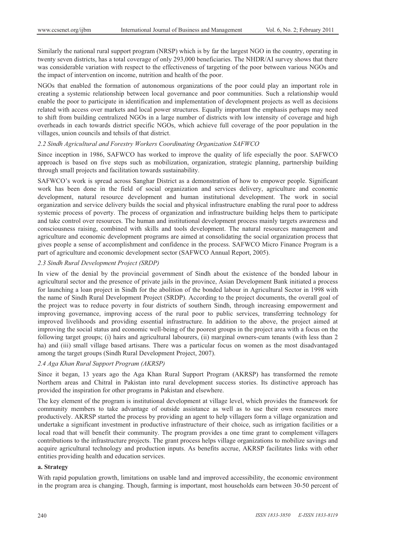Similarly the national rural support program (NRSP) which is by far the largest NGO in the country, operating in twenty seven districts, has a total coverage of only 293,000 beneficiaries. The NHDR/AI survey shows that there was considerable variation with respect to the effectiveness of targeting of the poor between various NGOs and the impact of intervention on income, nutrition and health of the poor.

NGOs that enabled the formation of autonomous organizations of the poor could play an important role in creating a systemic relationship between local governance and poor communities. Such a relationship would enable the poor to participate in identification and implementation of development projects as well as decisions related with access over markets and local power structures. Equally important the emphasis perhaps may need to shift from building centralized NGOs in a large number of districts with low intensity of coverage and high overheads in each towards district specific NGOs, which achieve full coverage of the poor population in the villages, union councils and tehsils of that district.

## *2.2 Sindh Agricultural and Forestry Workers Coordinating Organization SAFWCO*

Since inception in 1986, SAFWCO has worked to improve the quality of life especially the poor. SAFWCO approach is based on five steps such as mobilization, organization, strategic planning, partnership building through small projects and facilitation towards sustainability.

SAFWCO's work is spread across Sanghar District as a demonstration of how to empower people. Significant work has been done in the field of social organization and services delivery, agriculture and economic development, natural resource development and human institutional development. The work in social organization and service delivery builds the social and physical infrastructure enabling the rural poor to address systemic process of poverty. The process of organization and infrastructure building helps them to participate and take control over resources. The human and institutional development process mainly targets awareness and consciousness raising, combined with skills and tools development. The natural resources management and agriculture and economic development programs are aimed at consolidating the social organization process that gives people a sense of accomplishment and confidence in the process. SAFWCO Micro Finance Program is a part of agriculture and economic development sector (SAFWCO Annual Report, 2005).

#### *2.3 Sindh Rural Development Project (SRDP)*

In view of the denial by the provincial government of Sindh about the existence of the bonded labour in agricultural sector and the presence of private jails in the province, Asian Development Bank initiated a process for launching a loan project in Sindh for the abolition of the bonded labour in Agricultural Sector in 1998 with the name of Sindh Rural Development Project (SRDP). According to the project documents, the overall goal of the project was to reduce poverty in four districts of southern Sindh, through increasing empowerment and improving governance, improving access of the rural poor to public services, transferring technology for improved livelihoods and providing essential infrastructure. In addition to the above, the project aimed at improving the social status and economic well-being of the poorest groups in the project area with a focus on the following target groups; (i) hairs and agricultural labourers, (ii) marginal owners-cum tenants (with less than 2 ha) and (iii) small village based artisans. There was a particular focus on women as the most disadvantaged among the target groups (Sindh Rural Development Project, 2007).

## *2.4 Aga Khan Rural Support Program (AKRSP)*

Since it began, 13 years ago the Aga Khan Rural Support Program (AKRSP) has transformed the remote Northern areas and Chitral in Pakistan into rural development success stories. Its distinctive approach has provided the inspiration for other programs in Pakistan and elsewhere.

The key element of the program is institutional development at village level, which provides the framework for community members to take advantage of outside assistance as well as to use their own resources more productively. AKRSP started the process by providing an agent to help villagers form a village organization and undertake a significant investment in productive infrastructure of their choice, such as irrigation facilities or a local road that will benefit their community. The program provides a one time grant to complement villagers contributions to the infrastructure projects. The grant process helps village organizations to mobilize savings and acquire agricultural technology and production inputs. As benefits accrue, AKRSP facilitates links with other entities providing health and education services.

#### **a. Strategy**

With rapid population growth, limitations on usable land and improved accessibility, the economic environment in the program area is changing. Though, farming is important, most households earn between 30-50 percent of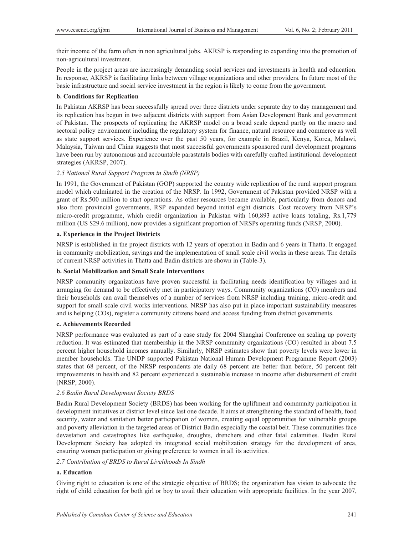their income of the farm often in non agricultural jobs. AKRSP is responding to expanding into the promotion of non-agricultural investment.

People in the project areas are increasingly demanding social services and investments in health and education. In response, AKRSP is facilitating links between village organizations and other providers. In future most of the basic infrastructure and social service investment in the region is likely to come from the government.

## **b. Conditions for Replication**

In Pakistan AKRSP has been successfully spread over three districts under separate day to day management and its replication has begun in two adjacent districts with support from Asian Development Bank and government of Pakistan. The prospects of replicating the AKRSP model on a broad scale depend partly on the macro and sectoral policy environment including the regulatory system for finance, natural resource and commerce as well as state support services. Experience over the past 50 years, for example in Brazil, Kenya, Korea, Malawi, Malaysia, Taiwan and China suggests that most successful governments sponsored rural development programs have been run by autonomous and accountable parastatals bodies with carefully crafted institutional development strategies (AKRSP, 2007).

## *2.5 National Rural Support Program in Sindh (NRSP)*

In 1991, the Government of Pakistan (GOP) supported the country wide replication of the rural support program model which culminated in the creation of the NRSP. In 1992, Government of Pakistan provided NRSP with a grant of Rs.500 million to start operations. As other resources became available, particularly from donors and also from provincial governments, RSP expanded beyond initial eight districts. Cost recovery from NRSP's micro-credit programme, which credit organization in Pakistan with 160,893 active loans totaling, Rs.1,779 million (US \$29.6 million), now provides a significant proportion of NRSPs operating funds (NRSP, 2000).

# **a. Experience in the Project Districts**

NRSP is established in the project districts with 12 years of operation in Badin and 6 years in Thatta. It engaged in community mobilization, savings and the implementation of small scale civil works in these areas. The details of current NRSP activities in Thatta and Badin districts are shown in (Table-3).

# **b. Social Mobilization and Small Scale Interventions**

NRSP community organizations have proven successful in facilitating needs identification by villages and in arranging for demand to be effectively met in participatory ways. Community organizations (CO) members and their households can avail themselves of a number of services from NRSP including training, micro-credit and support for small-scale civil works interventions. NRSP has also put in place important sustainability measures and is helping (COs), register a community citizens board and access funding from district governments.

## **c. Achievements Recorded**

NRSP performance was evaluated as part of a case study for 2004 Shanghai Conference on scaling up poverty reduction. It was estimated that membership in the NRSP community organizations (CO) resulted in about 7.5 percent higher household incomes annually. Similarly, NRSP estimates show that poverty levels were lower in member households. The UNDP supported Pakistan National Human Development Programme Report (2003) states that 68 percent, of the NRSP respondents ate daily 68 percent ate better than before, 50 percent felt improvements in health and 82 percent experienced a sustainable increase in income after disbursement of credit (NRSP, 2000).

# *2.6 Badin Rural Development Society BRDS*

Badin Rural Development Society (BRDS) has been working for the upliftment and community participation in development initiatives at district level since last one decade. It aims at strengthening the standard of health, food security, water and sanitation better participation of women, creating equal opportunities for vulnerable groups and poverty alleviation in the targeted areas of District Badin especially the coastal belt. These communities face devastation and catastrophes like earthquake, droughts, drenchers and other fatal calamities. Badin Rural Development Society has adopted its integrated social mobilization strategy for the development of area, ensuring women participation or giving preference to women in all its activities.

#### *2.7 Contribution of BRDS to Rural Livelihoods In Sindh*

# **a. Education**

Giving right to education is one of the strategic objective of BRDS; the organization has vision to advocate the right of child education for both girl or boy to avail their education with appropriate facilities. In the year 2007,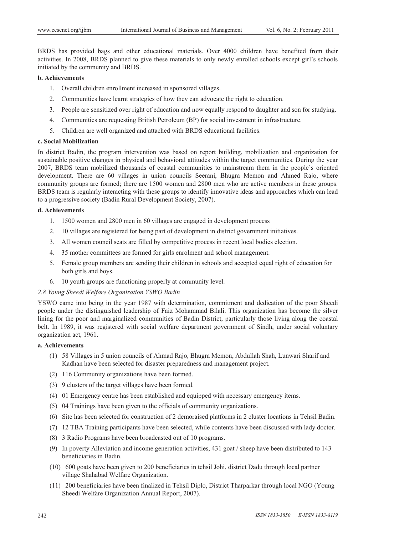BRDS has provided bags and other educational materials. Over 4000 children have benefited from their activities. In 2008, BRDS planned to give these materials to only newly enrolled schools except girl's schools initiated by the community and BRDS.

# **b. Achievements**

- 1. Overall children enrollment increased in sponsored villages.
- 2. Communities have learnt strategies of how they can advocate the right to education.
- 3. People are sensitized over right of education and now equally respond to daughter and son for studying.
- 4. Communities are requesting British Petroleum (BP) for social investment in infrastructure.
- 5. Children are well organized and attached with BRDS educational facilities.

# **c. Social Mobilization**

In district Badin, the program intervention was based on report building, mobilization and organization for sustainable positive changes in physical and behavioral attitudes within the target communities. During the year 2007, BRDS team mobilized thousands of coastal communities to mainstream them in the people's oriented development. There are 60 villages in union councils Seerani, Bhugra Memon and Ahmed Rajo, where community groups are formed; there are 1500 women and 2800 men who are active members in these groups. BRDS team is regularly interacting with these groups to identify innovative ideas and approaches which can lead to a progressive society (Badin Rural Development Society, 2007).

## **d. Achievements**

- 1. 1500 women and 2800 men in 60 villages are engaged in development process
- 2. 10 villages are registered for being part of development in district government initiatives.
- 3. All women council seats are filled by competitive process in recent local bodies election.
- 4. 35 mother committees are formed for girls enrolment and school management.
- 5. Female group members are sending their children in schools and accepted equal right of education for both girls and boys.
- 6. 10 youth groups are functioning properly at community level.

## *2.8 Young Sheedi Welfare Organization YSWO Badin*

YSWO came into being in the year 1987 with determination, commitment and dedication of the poor Sheedi people under the distinguished leadership of Faiz Mohammad Bilali. This organization has become the silver lining for the poor and marginalized communities of Badin District, particularly those living along the coastal belt. In 1989, it was registered with social welfare department government of Sindh, under social voluntary organization act, 1961.

# **a. Achievements**

- (1) 58 Villages in 5 union councils of Ahmad Rajo, Bhugra Memon, Abdullah Shah, Lunwari Sharif and Kadhan have been selected for disaster preparedness and management project.
- (2) 116 Community organizations have been formed.
- (3) 9 clusters of the target villages have been formed.
- (4) 01 Emergency centre has been established and equipped with necessary emergency items.
- (5) 04 Trainings have been given to the officials of community organizations.
- (6) Site has been selected for construction of 2 demoraised platforms in 2 cluster locations in Tehsil Badin.
- (7) 12 TBA Training participants have been selected, while contents have been discussed with lady doctor.
- (8) 3 Radio Programs have been broadcasted out of 10 programs.
- (9) In poverty Alleviation and income generation activities, 431 goat / sheep have been distributed to 143 beneficiaries in Badin.
- (10) 600 goats have been given to 200 beneficiaries in tehsil Johi, district Dadu through local partner village Shahabad Welfare Organization.
- (11) 200 beneficiaries have been finalized in Tehsil Diplo, District Tharparkar through local NGO (Young Sheedi Welfare Organization Annual Report, 2007).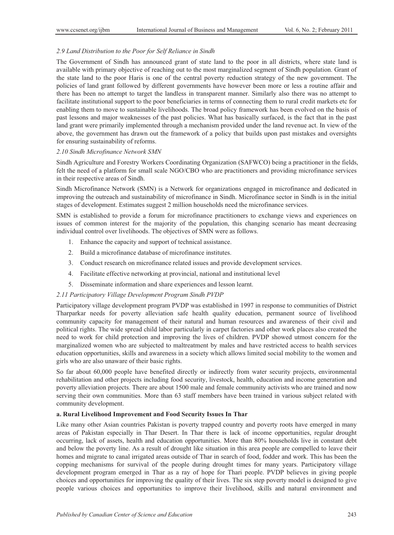#### *2.9 Land Distribution to the Poor for Self Reliance in Sindh*

The Government of Sindh has announced grant of state land to the poor in all districts, where state land is available with primary objective of reaching out to the most marginalized segment of Sindh population. Grant of the state land to the poor Haris is one of the central poverty reduction strategy of the new government. The policies of land grant followed by different governments have however been more or less a routine affair and there has been no attempt to target the landless in transparent manner. Similarly also there was no attempt to facilitate institutional support to the poor beneficiaries in terms of connecting them to rural credit markets etc for enabling them to move to sustainable livelihoods. The broad policy framework has been evolved on the basis of past lessons and major weaknesses of the past policies. What has basically surfaced, is the fact that in the past land grant were primarily implemented through a mechanism provided under the land revenue act. In view of the above, the government has drawn out the framework of a policy that builds upon past mistakes and oversights for ensuring sustainability of reforms.

#### *2.10 Sindh Microfinance Network SMN*

Sindh Agriculture and Forestry Workers Coordinating Organization (SAFWCO) being a practitioner in the fields, felt the need of a platform for small scale NGO/CBO who are practitioners and providing microfinance services in their respective areas of Sindh.

Sindh Microfinance Network (SMN) is a Network for organizations engaged in microfinance and dedicated in improving the outreach and sustainability of microfinance in Sindh. Microfinance sector in Sindh is in the initial stages of development. Estimates suggest 2 million households need the microfinance services.

SMN is established to provide a forum for microfinance practitioners to exchange views and experiences on issues of common interest for the majority of the population, this changing scenario has meant decreasing individual control over livelihoods. The objectives of SMN were as follows.

- 1. Enhance the capacity and support of technical assistance.
- 2. Build a microfinance database of microfinance institutes.
- 3. Conduct research on microfinance related issues and provide development services.
- 4. Facilitate effective networking at provincial, national and institutional level
- 5. Disseminate information and share experiences and lesson learnt.

#### *2.11 Participatory Village Development Program Sindh PVDP*

Participatory village development program PVDP was established in 1997 in response to communities of District Tharparkar needs for poverty alleviation safe health quality education, permanent source of livelihood community capacity for management of their natural and human resources and awareness of their civil and political rights. The wide spread child labor particularly in carpet factories and other work places also created the need to work for child protection and improving the lives of children. PVDP showed utmost concern for the marginalized women who are subjected to maltreatment by males and have restricted access to health services education opportunities, skills and awareness in a society which allows limited social mobility to the women and girls who are also unaware of their basic rights.

So far about 60,000 people have benefited directly or indirectly from water security projects, environmental rehabilitation and other projects including food security, livestock, health, education and income generation and poverty alleviation projects. There are about 1500 male and female community activists who are trained and now serving their own communities. More than 63 staff members have been trained in various subject related with community development.

## **a. Rural Livelihood Improvement and Food Security Issues In Thar**

Like many other Asian countries Pakistan is poverty trapped country and poverty roots have emerged in many areas of Pakistan especially in Thar Desert. In Thar there is lack of income opportunities, regular drought occurring, lack of assets, health and education opportunities. More than 80% households live in constant debt and below the poverty line. As a result of drought like situation in this area people are compelled to leave their homes and migrate to canal irrigated areas outside of Thar in search of food, fodder and work. This has been the copping mechanisms for survival of the people during drought times for many years. Participatory village development program emerged in Thar as a ray of hope for Thari people. PVDP believes in giving people choices and opportunities for improving the quality of their lives. The six step poverty model is designed to give people various choices and opportunities to improve their livelihood, skills and natural environment and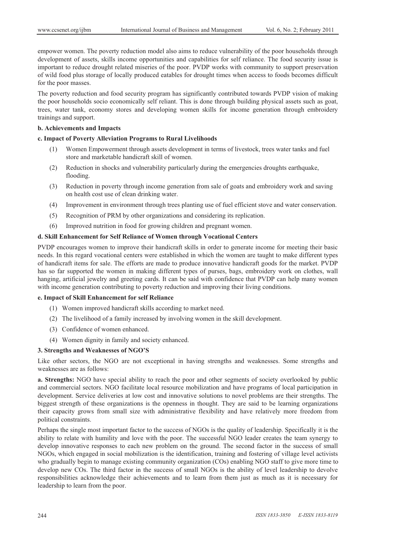empower women. The poverty reduction model also aims to reduce vulnerability of the poor households through development of assets, skills income opportunities and capabilities for self reliance. The food security issue is important to reduce drought related miseries of the poor. PVDP works with community to support preservation of wild food plus storage of locally produced eatables for drought times when access to foods becomes difficult for the poor masses.

The poverty reduction and food security program has significantly contributed towards PVDP vision of making the poor households socio economically self reliant. This is done through building physical assets such as goat, trees, water tank, economy stores and developing women skills for income generation through embroidery trainings and support.

## **b. Achievements and Impacts**

# **c. Impact of Poverty Alleviation Programs to Rural Livelihoods**

- (1) Women Empowerment through assets development in terms of livestock, trees water tanks and fuel store and marketable handicraft skill of women.
- (2) Reduction in shocks and vulnerability particularly during the emergencies droughts earthquake, flooding.
- (3) Reduction in poverty through income generation from sale of goats and embroidery work and saving on health cost use of clean drinking water.
- (4) Improvement in environment through trees planting use of fuel efficient stove and water conservation.
- (5) Recognition of PRM by other organizations and considering its replication.
- (6) Improved nutrition in food for growing children and pregnant women.

## **d. Skill Enhancement for Self Reliance of Women through Vocational Centers**

PVDP encourages women to improve their handicraft skills in order to generate income for meeting their basic needs. In this regard vocational centers were established in which the women are taught to make different types of handicraft items for sale. The efforts are made to produce innovative handicraft goods for the market. PVDP has so far supported the women in making different types of purses, bags, embroidery work on clothes, wall hanging, artificial jewelry and greeting cards. It can be said with confidence that PVDP can help many women with income generation contributing to poverty reduction and improving their living conditions.

#### **e. Impact of Skill Enhancement for self Reliance**

- (1) Women improved handicraft skills according to market need.
- (2) The livelihood of a family increased by involving women in the skill development.
- (3) Confidence of women enhanced.
- (4) Women dignity in family and society enhanced.

#### **3. Strengths and Weaknesses of NGO'S**

Like other sectors, the NGO are not exceptional in having strengths and weaknesses. Some strengths and weaknesses are as follows:

**a. Strengths:** NGO have special ability to reach the poor and other segments of society overlooked by public and commercial sectors. NGO facilitate local resource mobilization and have programs of local participation in development. Service deliveries at low cost and innovative solutions to novel problems are their strengths. The biggest strength of these organizations is the openness in thought. They are said to be learning organizations their capacity grows from small size with administrative flexibility and have relatively more freedom from political constraints.

Perhaps the single most important factor to the success of NGOs is the quality of leadership. Specifically it is the ability to relate with humility and love with the poor. The successful NGO leader creates the team synergy to develop innovative responses to each new problem on the ground. The second factor in the success of small NGOs, which engaged in social mobilization is the identification, training and fostering of village level activists who gradually begin to manage existing community organization (COs) enabling NGO staff to give more time to develop new COs. The third factor in the success of small NGOs is the ability of level leadership to devolve responsibilities acknowledge their achievements and to learn from them just as much as it is necessary for leadership to learn from the poor.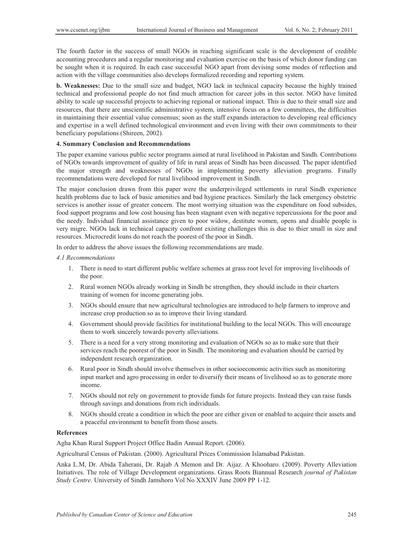The fourth factor in the success of small NGOs in reaching significant scale is the development of credible accounting procedures and a regular monitoring and evaluation exercise on the basis of which donor funding can be sought when it is required. In each case successful NGO apart from devising some modes of reflection and action with the village communities also develops formalized recording and reporting system.

**b. Weaknesses:** Due to the small size and budget, NGO lack in technical capacity because the highly trained technical and professional people do not find much attraction for career jobs in this sector. NGO have limited ability to scale up successful projects to achieving regional or national impact. This is due to their small size and resources, that there are unscientific administrative system, intensive focus on a few committees, the difficulties in maintaining their essential value consensus; soon as the staff expands interaction to developing real efficiency and expertise in a well defined technological environment and even living with their own commitments to their beneficiary populations (Shireen, 2002).

#### **4. Summary Conclusion and Recommendations**

The paper examine various public sector programs aimed at rural livelihood in Pakistan and Sindh. Contributions of NGOs towards improvement of quality of life in rural areas of Sindh has been discussed. The paper identified the major strength and weaknesses of NGOs in implementing poverty alleviation programs. Finally recommendations were developed for rural livelihood improvement in Sindh.

The major conclusion drawn from this paper were the underprivileged settlements in rural Sindh experience health problems due to lack of basic amenities and bad hygiene practices. Similarly the lack emergency obstetric services is another issue of greater concern. The most worrying situation was the expenditure on food subsides, food support programs and low cost housing has been stagnant even with negative repercussions for the poor and the needy. Individual financial assistance given to poor widow, destitute women, opens and disable people is very migre. NGOs lack in technical capacity confront existing challenges this is due to thier small in size and resources. Microcredit loans do not reach the poorest of the poor in Sindh.

In order to address the above issues the following recommendations are made.

## *4.1 Recommendations*

- 1. There is need to start different public welfare schemes at grass root level for improving livelihoods of the poor.
- 2. Rural women NGOs already working in Sindh be strengthen, they should include in their charters training of women for income generating jobs.
- 3. NGOs should ensure that new agricultural technologies are introduced to help farmers to improve and increase crop production so as to improve their living standard.
- 4. Government should provide facilities for institutional building to the local NGOs. This will encourage them to work sincerely towards poverty alleviations.
- 5. There is a need for a very strong monitoring and evaluation of NGOs so as to make sure that their services reach the poorest of the poor in Sindh. The monitoring and evaluation should be carried by independent research organization.
- 6. Rural poor in Sindh should involve themselves in other socioeconomic activities such as monitoring input market and agro processing in order to diversify their means of livelihood so as to generate more income.
- 7. NGOs should not rely on government to provide funds for future projects. Instead they can raise funds through savings and donations from rich individuals.
- 8. NGOs should create a condition in which the poor are either given or enabled to acquire their assets and a peaceful environment to benefit from those assets.

## **References**

Agha Khan Rural Support Project Office Badin Annual Report. (2006).

Agricultural Census of Pakistan. (2000). Agricultural Prices Commission Islamabad Pakistan.

Anka L.M, Dr. Abida Taherani, Dr. Rajab A Memon and Dr. Aijaz. A Khooharo. (2009). Poverty Alleviation Initiatives. The role of Village Development organizations. Grass Roots Biannual Research *journal of Pakistan Study Centre.* University of Sindh Jamshoro Vol No XXXIV June 2009 PP 1-12.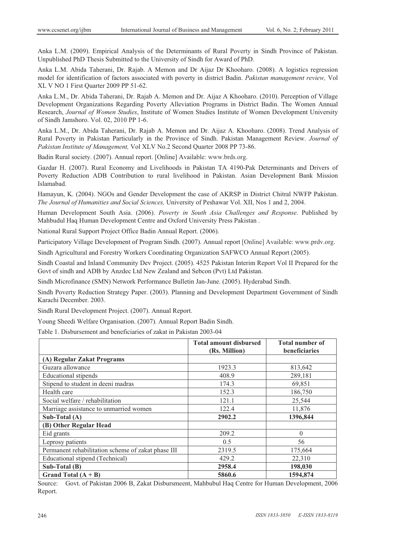Anka L.M. (2009). Empirical Analysis of the Determinants of Rural Poverty in Sindh Province of Pakistan. Unpublished PhD Thesis Submitted to the University of Sindh for Award of PhD.

Anka L.M. Abida Taherani, Dr. Rajab. A Memon and Dr Aijaz Dr Khooharo. (2008). A logistics regression model for identification of factors associated with poverty in district Badin. *Pakistan management review,* Vol XL V NO 1 First Quarter 2009 PP 51-62.

Anka L.M., Dr. Abida Taherani, Dr. Rajab A. Memon and Dr. Aijaz A Khooharo. (2010). Perception of Village Development Organizations Regarding Poverty Alleviation Programs in District Badin. The Women Annual Research, *Journal of Women Studies*, Institute of Women Studies Institute of Women Development University of Sindh Jamshoro. Vol. 02, 2010 PP 1-6.

Anka L.M., Dr. Abida Taherani, Dr. Rajab A. Memon and Dr. Aijaz A. Khooharo. (2008). Trend Analysis of Rural Poverty in Pakistan Particularly in the Province of Sindh. Pakistan Management Review. *Journal of Pakistan Institute of Management,* Vol XLV No.2 Second Quarter 2008 PP 73-86.

Badin Rural society. (2007). Annual report. [Online] Available: www.brds.org.

Gazdar H. (2007). Rural Economy and Livelihoods in Pakistan TA 4190-Pak Determinants and Drivers of Poverty Reduction ADB Contribution to rural livelihood in Pakistan. Asian Development Bank Mission Islamabad.

Hamayun, K. (2004). NGOs and Gender Development the case of AKRSP in District Chitral NWFP Pakistan. *The Journal of Humanities and Social Sciences,* University of Peshawar Vol. XII, Nos 1 and 2, 2004.

Human Development South Asia. (2006). *Poverty in South Asia Challenges and Response*. Published by Mahbudul Haq Human Development Centre and Oxford University Press Pakistan .

National Rural Support Project Office Badin Annual Report. (2006).

Participatory Village Development of Program Sindh. (2007). Annual report [Online] Available: www.prdv.org.

Sindh Agricultural and Forestry Workers Coordinating Organization SAFWCO Annual Report (2005).

Sindh Coastal and Inland Community Dev Project. (2005). 4525 Pakistan Interim Report Vol II Prepared for the Govt of sindh and ADB by Anzdec Ltd New Zealand and Sebcon (Pvt) Ltd Pakistan.

Sindh Microfinance (SMN) Network Performance Bulletin Jan-June. (2005). Hyderabad Sindh.

Sindh Poverty Reduction Strategy Paper. (2003). Planning and Development Department Government of Sindh Karachi December. 2003.

Sindh Rural Development Project. (2007). Annual Report.

Young Sheedi Welfare Organisation. (2007). Annual Report Badin Sindh.

Table 1. Disbursement and beneficiaries of zakat in Pakistan 2003-04

|                                                    | <b>Total amount disbursed</b><br>(Rs. Million) | <b>Total number of</b><br>beneficiaries |
|----------------------------------------------------|------------------------------------------------|-----------------------------------------|
| (A) Regular Zakat Programs                         |                                                |                                         |
| Guzara allowance                                   | 1923.3                                         | 813,642                                 |
| <b>Educational stipends</b>                        | 408.9                                          | 289,181                                 |
| Stipend to student in deeni madras                 | 174.3                                          | 69,851                                  |
| Health care                                        | 152.3                                          | 186,750                                 |
| Social welfare / rehabilitation                    | 121.1                                          | 25,544                                  |
| Marriage assistance to unmarried women             | 122.4                                          | 11,876                                  |
| Sub-Total (A)                                      | 2902.2                                         | 1396,844                                |
| (B) Other Regular Head                             |                                                |                                         |
| Eid grants                                         | 209.2                                          | $\theta$                                |
| Leprosy patients                                   | 0.5                                            | 56                                      |
| Permanent rehabilitation scheme of zakat phase III | 2319.5                                         | 175,664                                 |
| Educational stipend (Technical)                    | 429.2                                          | 22,310                                  |
| $Sub-Total(B)$                                     | 2958.4                                         | 198,030                                 |
| Grand Total $(A + B)$                              | 5860.6                                         | 1594,874                                |

Source: Govt. of Pakistan 2006 B, Zakat Disbursmeent, Mahbubul Haq Centre for Human Development, 2006 Report.